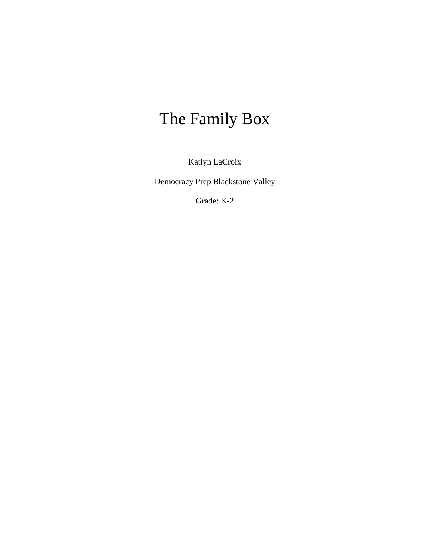# The Family Box

Katlyn LaCroix

Democracy Prep Blackstone Valley

Grade: K-2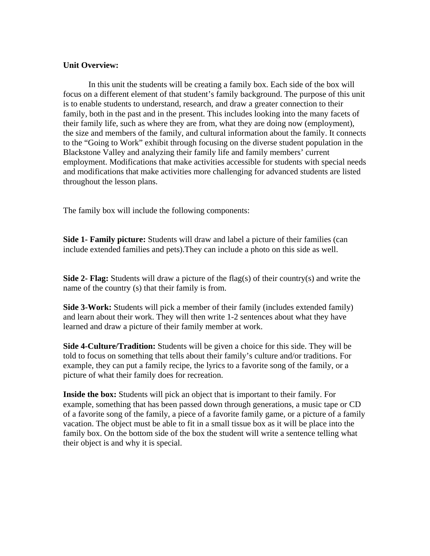#### **Unit Overview:**

In this unit the students will be creating a family box. Each side of the box will focus on a different element of that student's family background. The purpose of this unit is to enable students to understand, research, and draw a greater connection to their family, both in the past and in the present. This includes looking into the many facets of their family life, such as where they are from, what they are doing now (employment), the size and members of the family, and cultural information about the family. It connects to the "Going to Work" exhibit through focusing on the diverse student population in the Blackstone Valley and analyzing their family life and family members' current employment. Modifications that make activities accessible for students with special needs and modifications that make activities more challenging for advanced students are listed throughout the lesson plans.

The family box will include the following components:

**Side 1- Family picture:** Students will draw and label a picture of their families (can include extended families and pets).They can include a photo on this side as well.

**Side 2- Flag:** Students will draw a picture of the flag(s) of their country(s) and write the name of the country (s) that their family is from.

**Side 3-Work:** Students will pick a member of their family (includes extended family) and learn about their work. They will then write 1-2 sentences about what they have learned and draw a picture of their family member at work.

**Side 4-Culture/Tradition:** Students will be given a choice for this side. They will be told to focus on something that tells about their family's culture and/or traditions. For example, they can put a family recipe, the lyrics to a favorite song of the family, or a picture of what their family does for recreation.

**Inside the box:** Students will pick an object that is important to their family. For example, something that has been passed down through generations, a music tape or CD of a favorite song of the family, a piece of a favorite family game, or a picture of a family vacation. The object must be able to fit in a small tissue box as it will be place into the family box. On the bottom side of the box the student will write a sentence telling what their object is and why it is special.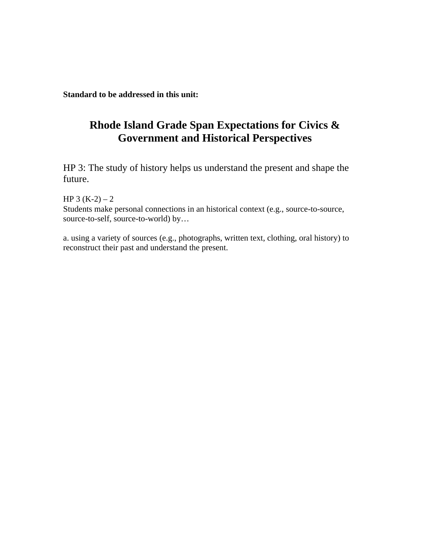**Standard to be addressed in this unit:**

# **Rhode Island Grade Span Expectations for Civics & Government and Historical Perspectives**

HP 3: The study of history helps us understand the present and shape the future.

HP  $3(K-2) - 2$ Students make personal connections in an historical context (e.g., source-to-source, source-to-self, source-to-world) by…

a. using a variety of sources (e.g., photographs, written text, clothing, oral history) to reconstruct their past and understand the present.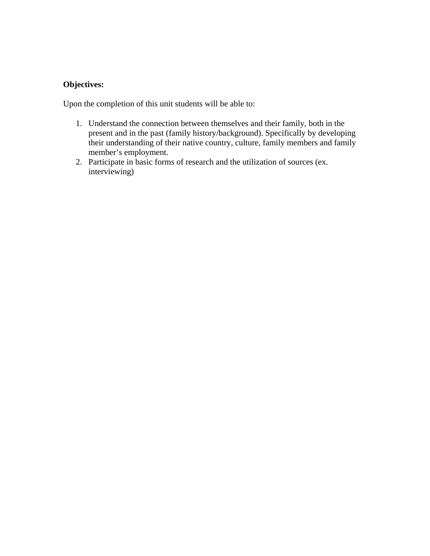# **Objectives:**

Upon the completion of this unit students will be able to:

- 1. Understand the connection between themselves and their family, both in the present and in the past (family history/background). Specifically by developing their understanding of their native country, culture, family members and family member's employment.
- 2. Participate in basic forms of research and the utilization of sources (ex. interviewing)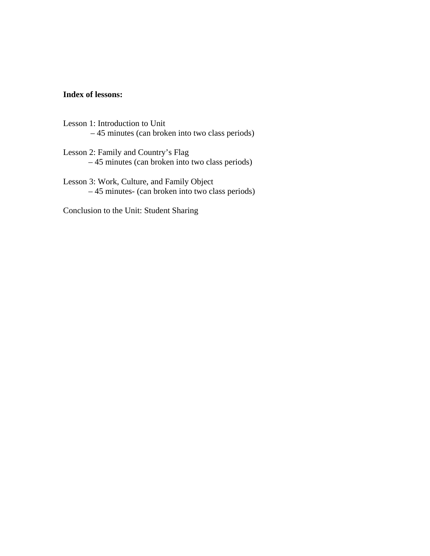#### **Index of lessons:**

- Lesson 1: Introduction to Unit – 45 minutes (can broken into two class periods)
- Lesson 2: Family and Country's Flag – 45 minutes (can broken into two class periods)
- Lesson 3: Work, Culture, and Family Object – 45 minutes- (can broken into two class periods)

Conclusion to the Unit: Student Sharing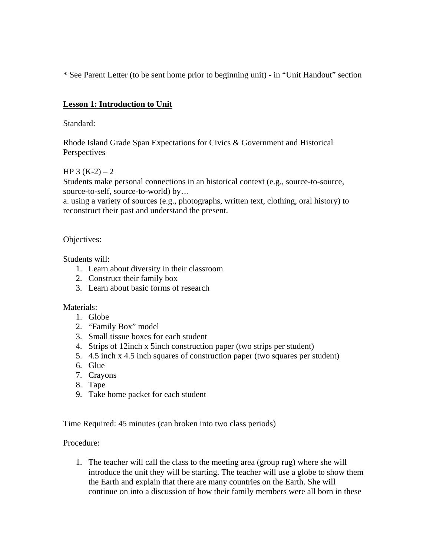\* See Parent Letter (to be sent home prior to beginning unit) - in "Unit Handout" section

# **Lesson 1: Introduction to Unit**

Standard:

Rhode Island Grade Span Expectations for Civics & Government and Historical **Perspectives** 

# HP 3  $(K-2) - 2$

Students make personal connections in an historical context (e.g., source-to-source, source-to-self, source-to-world) by…

a. using a variety of sources (e.g., photographs, written text, clothing, oral history) to reconstruct their past and understand the present.

Objectives:

Students will:

- 1. Learn about diversity in their classroom
- 2. Construct their family box
- 3. Learn about basic forms of research

#### Materials:

- 1. Globe
- 2. "Family Box" model
- 3. Small tissue boxes for each student
- 4. Strips of 12inch x 5inch construction paper (two strips per student)
- 5. 4.5 inch x 4.5 inch squares of construction paper (two squares per student)
- 6. Glue
- 7. Crayons
- 8. Tape
- 9. Take home packet for each student

Time Required: 45 minutes (can broken into two class periods)

#### Procedure:

1. The teacher will call the class to the meeting area (group rug) where she will introduce the unit they will be starting. The teacher will use a globe to show them the Earth and explain that there are many countries on the Earth. She will continue on into a discussion of how their family members were all born in these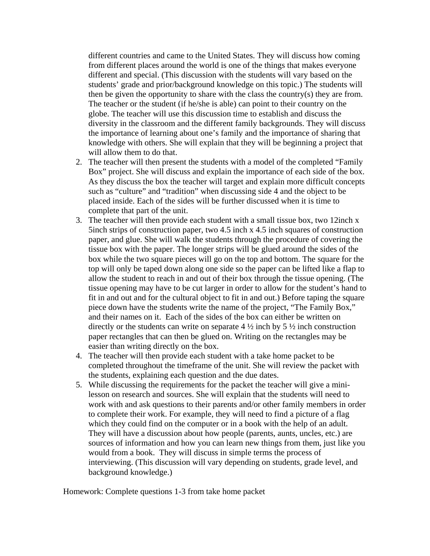different countries and came to the United States. They will discuss how coming from different places around the world is one of the things that makes everyone different and special. (This discussion with the students will vary based on the students' grade and prior/background knowledge on this topic.) The students will then be given the opportunity to share with the class the country(s) they are from. The teacher or the student (if he/she is able) can point to their country on the globe. The teacher will use this discussion time to establish and discuss the diversity in the classroom and the different family backgrounds. They will discuss the importance of learning about one's family and the importance of sharing that knowledge with others. She will explain that they will be beginning a project that will allow them to do that.

- 2. The teacher will then present the students with a model of the completed "Family Box" project. She will discuss and explain the importance of each side of the box. As they discuss the box the teacher will target and explain more difficult concepts such as "culture" and "tradition" when discussing side 4 and the object to be placed inside. Each of the sides will be further discussed when it is time to complete that part of the unit.
- 3. The teacher will then provide each student with a small tissue box, two 12inch x 5inch strips of construction paper, two 4.5 inch x 4.5 inch squares of construction paper, and glue. She will walk the students through the procedure of covering the tissue box with the paper. The longer strips will be glued around the sides of the box while the two square pieces will go on the top and bottom. The square for the top will only be taped down along one side so the paper can be lifted like a flap to allow the student to reach in and out of their box through the tissue opening. (The tissue opening may have to be cut larger in order to allow for the student's hand to fit in and out and for the cultural object to fit in and out.) Before taping the square piece down have the students write the name of the project, "The Family Box," and their names on it. Each of the sides of the box can either be written on directly or the students can write on separate  $4\frac{1}{2}$  inch by  $5\frac{1}{2}$  inch construction paper rectangles that can then be glued on. Writing on the rectangles may be easier than writing directly on the box.
- 4. The teacher will then provide each student with a take home packet to be completed throughout the timeframe of the unit. She will review the packet with the students, explaining each question and the due dates.
- 5. While discussing the requirements for the packet the teacher will give a minilesson on research and sources. She will explain that the students will need to work with and ask questions to their parents and/or other family members in order to complete their work. For example, they will need to find a picture of a flag which they could find on the computer or in a book with the help of an adult. They will have a discussion about how people (parents, aunts, uncles, etc.) are sources of information and how you can learn new things from them, just like you would from a book. They will discuss in simple terms the process of interviewing. (This discussion will vary depending on students, grade level, and background knowledge.)

Homework: Complete questions 1-3 from take home packet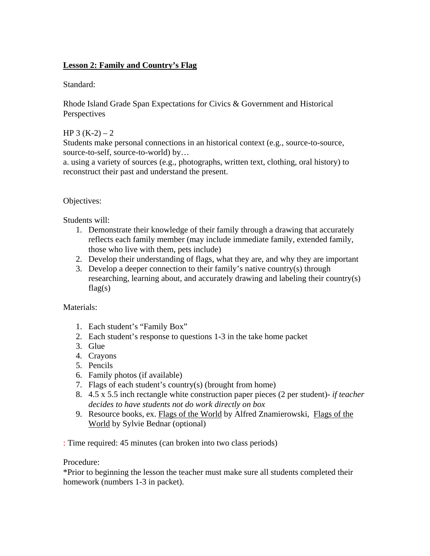# **Lesson 2: Family and Country's Flag**

Standard:

Rhode Island Grade Span Expectations for Civics & Government and Historical **Perspectives** 

#### HP 3  $(K-2) - 2$

Students make personal connections in an historical context (e.g., source-to-source, source-to-self, source-to-world) by…

a. using a variety of sources (e.g., photographs, written text, clothing, oral history) to reconstruct their past and understand the present.

#### Objectives:

Students will:

- 1. Demonstrate their knowledge of their family through a drawing that accurately reflects each family member (may include immediate family, extended family, those who live with them, pets include)
- 2. Develop their understanding of flags, what they are, and why they are important
- 3. Develop a deeper connection to their family's native country(s) through researching, learning about, and accurately drawing and labeling their country(s)  $flag(s)$

#### Materials:

- 1. Each student's "Family Box"
- 2. Each student's response to questions 1-3 in the take home packet
- 3. Glue
- 4. Crayons
- 5. Pencils
- 6. Family photos (if available)
- 7. Flags of each student's country(s) (brought from home)
- 8. 4.5 x 5.5 inch rectangle white construction paper pieces (2 per student)- *if teacher decides to have students not do work directly on box*
- 9. Resource books, ex. Flags of the World by Alfred Znamierowski, Flags of the World by Sylvie Bednar (optional)

: Time required: 45 minutes (can broken into two class periods)

#### Procedure:

\*Prior to beginning the lesson the teacher must make sure all students completed their homework (numbers 1-3 in packet).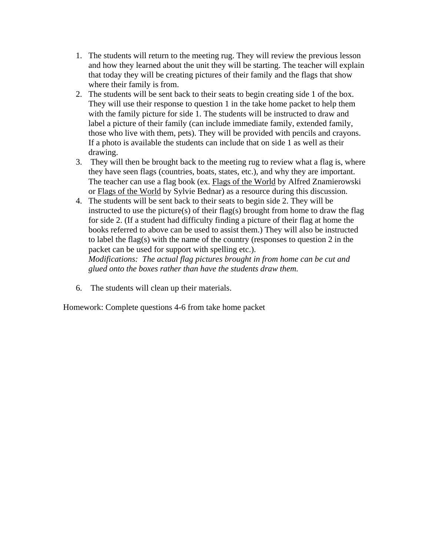- 1. The students will return to the meeting rug. They will review the previous lesson and how they learned about the unit they will be starting. The teacher will explain that today they will be creating pictures of their family and the flags that show where their family is from.
- 2. The students will be sent back to their seats to begin creating side 1 of the box. They will use their response to question 1 in the take home packet to help them with the family picture for side 1. The students will be instructed to draw and label a picture of their family (can include immediate family, extended family, those who live with them, pets). They will be provided with pencils and crayons. If a photo is available the students can include that on side 1 as well as their drawing.
- 3. They will then be brought back to the meeting rug to review what a flag is, where they have seen flags (countries, boats, states, etc.), and why they are important. The teacher can use a flag book (ex. Flags of the World by Alfred Znamierowski or Flags of the World by Sylvie Bednar) as a resource during this discussion.
- 4. The students will be sent back to their seats to begin side 2. They will be instructed to use the picture(s) of their flag(s) brought from home to draw the flag for side 2. (If a student had difficulty finding a picture of their flag at home the books referred to above can be used to assist them.) They will also be instructed to label the flag(s) with the name of the country (responses to question 2 in the packet can be used for support with spelling etc.).

*Modifications: The actual flag pictures brought in from home can be cut and glued onto the boxes rather than have the students draw them.* 

6. The students will clean up their materials.

Homework: Complete questions 4-6 from take home packet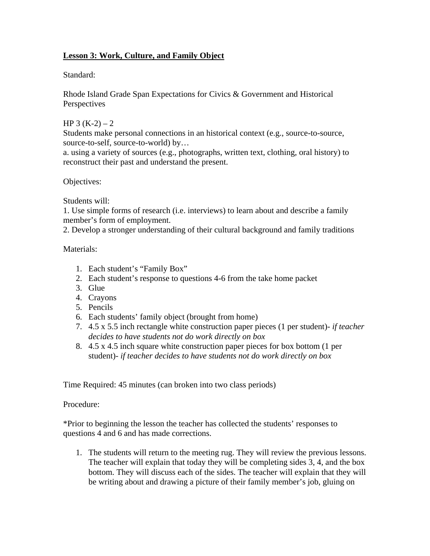# **Lesson 3: Work, Culture, and Family Object**

#### Standard:

Rhode Island Grade Span Expectations for Civics & Government and Historical **Perspectives** 

#### HP 3  $(K-2) - 2$

Students make personal connections in an historical context (e.g., source-to-source, source-to-self, source-to-world) by...

a. using a variety of sources (e.g., photographs, written text, clothing, oral history) to reconstruct their past and understand the present.

Objectives:

Students will:

1. Use simple forms of research (i.e. interviews) to learn about and describe a family member's form of employment.

2. Develop a stronger understanding of their cultural background and family traditions

Materials:

- 1. Each student's "Family Box"
- 2. Each student's response to questions 4-6 from the take home packet
- 3. Glue
- 4. Crayons
- 5. Pencils
- 6. Each students' family object (brought from home)
- 7. 4.5 x 5.5 inch rectangle white construction paper pieces (1 per student)- *if teacher decides to have students not do work directly on box*
- 8. 4.5 x 4.5 inch square white construction paper pieces for box bottom (1 per student)- *if teacher decides to have students not do work directly on box*

Time Required: 45 minutes (can broken into two class periods)

### Procedure:

\*Prior to beginning the lesson the teacher has collected the students' responses to questions 4 and 6 and has made corrections.

1. The students will return to the meeting rug. They will review the previous lessons. The teacher will explain that today they will be completing sides 3, 4, and the box bottom. They will discuss each of the sides. The teacher will explain that they will be writing about and drawing a picture of their family member's job, gluing on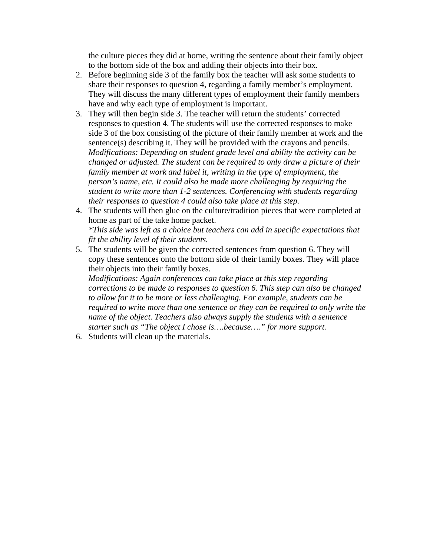the culture pieces they did at home, writing the sentence about their family object to the bottom side of the box and adding their objects into their box.

- 2. Before beginning side 3 of the family box the teacher will ask some students to share their responses to question 4, regarding a family member's employment. They will discuss the many different types of employment their family members have and why each type of employment is important.
- 3. They will then begin side 3. The teacher will return the students' corrected responses to question 4. The students will use the corrected responses to make side 3 of the box consisting of the picture of their family member at work and the sentence(s) describing it. They will be provided with the crayons and pencils. *Modifications: Depending on student grade level and ability the activity can be changed or adjusted. The student can be required to only draw a picture of their family member at work and label it, writing in the type of employment, the person's name, etc. It could also be made more challenging by requiring the student to write more than 1-2 sentences. Conferencing with students regarding their responses to question 4 could also take place at this step.*
- 4. The students will then glue on the culture/tradition pieces that were completed at home as part of the take home packet. *\*This side was left as a choice but teachers can add in specific expectations that fit the ability level of their students.*
- 5. The students will be given the corrected sentences from question 6. They will copy these sentences onto the bottom side of their family boxes. They will place their objects into their family boxes.

*Modifications: Again conferences can take place at this step regarding corrections to be made to responses to question 6. This step can also be changed to allow for it to be more or less challenging. For example, students can be required to write more than one sentence or they can be required to only write the name of the object. Teachers also always supply the students with a sentence starter such as "The object I chose is….because…." for more support.* 

6. Students will clean up the materials.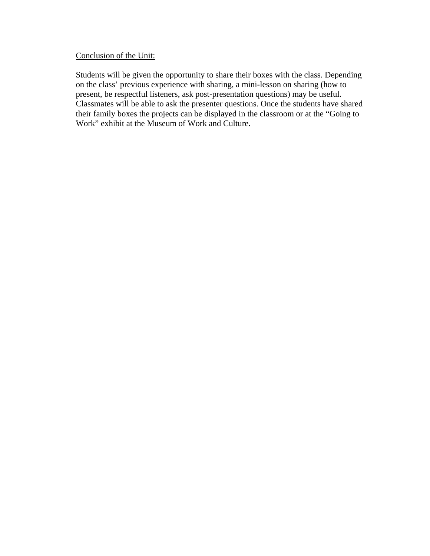#### Conclusion of the Unit:

Students will be given the opportunity to share their boxes with the class. Depending on the class' previous experience with sharing, a mini-lesson on sharing (how to present, be respectful listeners, ask post-presentation questions) may be useful. Classmates will be able to ask the presenter questions. Once the students have shared their family boxes the projects can be displayed in the classroom or at the "Going to Work" exhibit at the Museum of Work and Culture.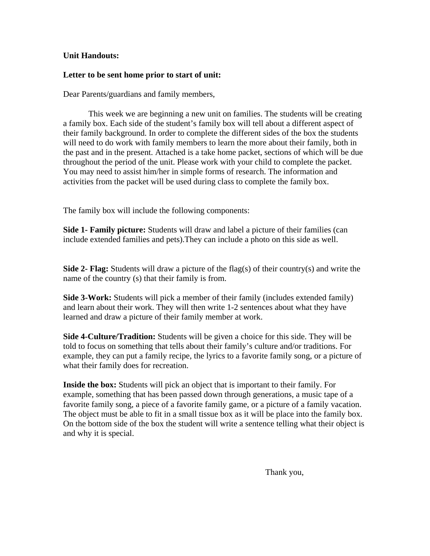#### **Unit Handouts:**

#### **Letter to be sent home prior to start of unit:**

Dear Parents/guardians and family members,

 This week we are beginning a new unit on families. The students will be creating a family box. Each side of the student's family box will tell about a different aspect of their family background. In order to complete the different sides of the box the students will need to do work with family members to learn the more about their family, both in the past and in the present. Attached is a take home packet, sections of which will be due throughout the period of the unit. Please work with your child to complete the packet. You may need to assist him/her in simple forms of research. The information and activities from the packet will be used during class to complete the family box.

The family box will include the following components:

**Side 1- Family picture:** Students will draw and label a picture of their families (can include extended families and pets).They can include a photo on this side as well.

**Side 2- Flag:** Students will draw a picture of the flag(s) of their country(s) and write the name of the country (s) that their family is from.

**Side 3-Work:** Students will pick a member of their family (includes extended family) and learn about their work. They will then write 1-2 sentences about what they have learned and draw a picture of their family member at work.

**Side 4-Culture/Tradition:** Students will be given a choice for this side. They will be told to focus on something that tells about their family's culture and/or traditions. For example, they can put a family recipe, the lyrics to a favorite family song, or a picture of what their family does for recreation.

**Inside the box:** Students will pick an object that is important to their family. For example, something that has been passed down through generations, a music tape of a favorite family song, a piece of a favorite family game, or a picture of a family vacation. The object must be able to fit in a small tissue box as it will be place into the family box. On the bottom side of the box the student will write a sentence telling what their object is and why it is special.

Thank you,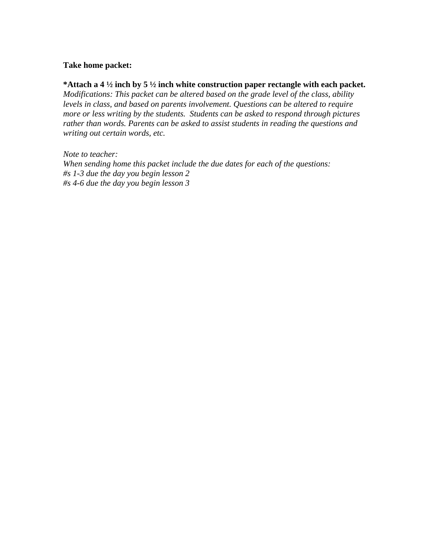#### **Take home packet:**

**\*Attach a 4 ½ inch by 5 ½ inch white construction paper rectangle with each packet.** 

*Modifications: This packet can be altered based on the grade level of the class, ability levels in class, and based on parents involvement. Questions can be altered to require more or less writing by the students. Students can be asked to respond through pictures rather than words. Parents can be asked to assist students in reading the questions and writing out certain words, etc.* 

*Note to teacher: When sending home this packet include the due dates for each of the questions: #s 1-3 due the day you begin lesson 2 #s 4-6 due the day you begin lesson 3*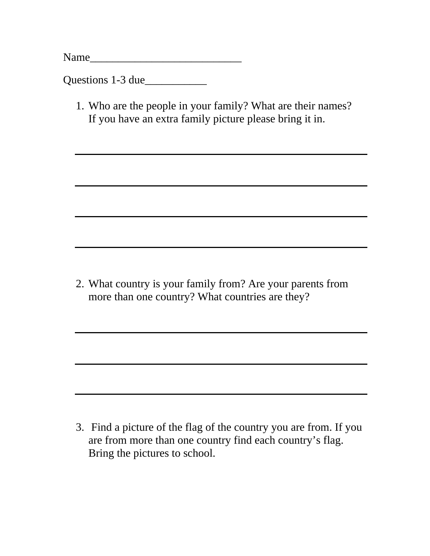Name

Questions 1-3 due

1. Who are the people in your family? What are their names? If you have an extra family picture please bring it in.

2. What country is your family from? Are your parents from more than one country? What countries are they?

3. Find a picture of the flag of the country you are from. If you are from more than one country find each country's flag. Bring the pictures to school.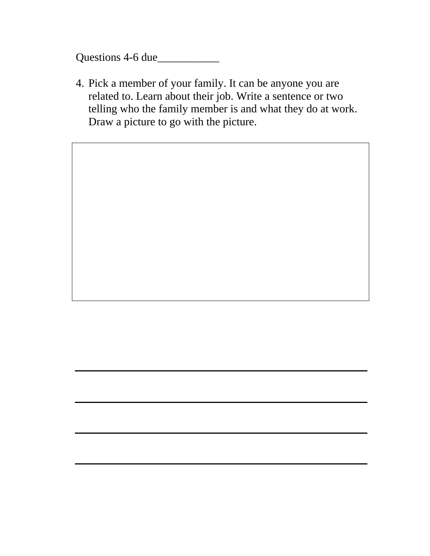Questions 4-6 due\_\_\_\_\_\_\_\_\_\_\_

4. Pick a member of your family. It can be anyone you are related to. Learn about their job. Write a sentence or two telling who the family member is and what they do at work. Draw a picture to go with the picture.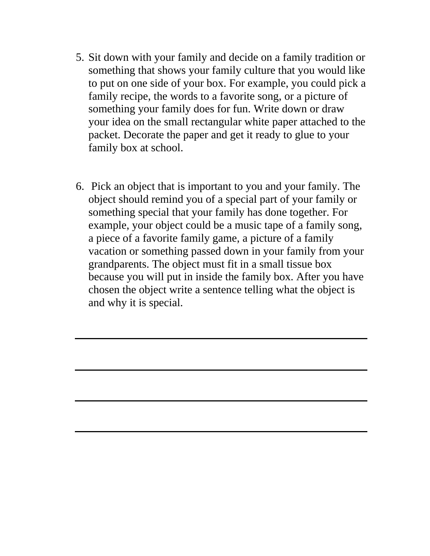- 5. Sit down with your family and decide on a family tradition or something that shows your family culture that you would like to put on one side of your box. For example, you could pick a family recipe, the words to a favorite song, or a picture of something your family does for fun. Write down or draw your idea on the small rectangular white paper attached to the packet. Decorate the paper and get it ready to glue to your family box at school.
- 6. Pick an object that is important to you and your family. The object should remind you of a special part of your family or something special that your family has done together. For example, your object could be a music tape of a family song, a piece of a favorite family game, a picture of a family vacation or something passed down in your family from your grandparents. The object must fit in a small tissue box because you will put in inside the family box. After you have chosen the object write a sentence telling what the object is and why it is special.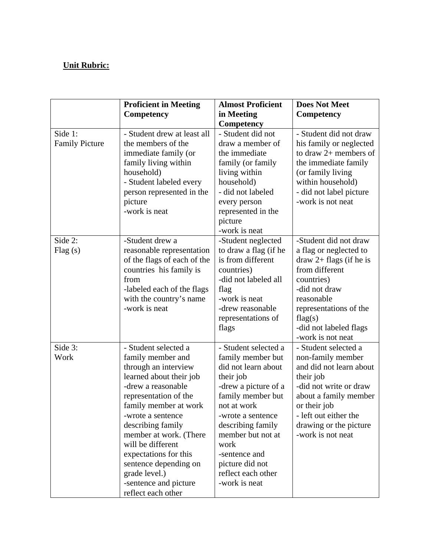# **Unit Rubric:**

|                                  | <b>Proficient in Meeting</b>                                                                                                                                                                                                                                                                                                                                                    | <b>Almost Proficient</b>                                                                                                                                                                                                                                                                    | <b>Does Not Meet</b>                                                                                                                                                                                                              |
|----------------------------------|---------------------------------------------------------------------------------------------------------------------------------------------------------------------------------------------------------------------------------------------------------------------------------------------------------------------------------------------------------------------------------|---------------------------------------------------------------------------------------------------------------------------------------------------------------------------------------------------------------------------------------------------------------------------------------------|-----------------------------------------------------------------------------------------------------------------------------------------------------------------------------------------------------------------------------------|
|                                  | Competency                                                                                                                                                                                                                                                                                                                                                                      | in Meeting                                                                                                                                                                                                                                                                                  | Competency                                                                                                                                                                                                                        |
|                                  |                                                                                                                                                                                                                                                                                                                                                                                 | <b>Competency</b>                                                                                                                                                                                                                                                                           |                                                                                                                                                                                                                                   |
| Side 1:<br><b>Family Picture</b> | - Student drew at least all<br>the members of the<br>immediate family (or<br>family living within<br>household)<br>- Student labeled every<br>person represented in the<br>picture<br>-work is neat                                                                                                                                                                             | - Student did not<br>draw a member of<br>the immediate<br>family (or family<br>living within<br>household)<br>- did not labeled<br>every person<br>represented in the<br>picture<br>-work is neat                                                                                           | - Student did not draw<br>his family or neglected<br>to draw $2+$ members of<br>the immediate family<br>(or family living)<br>within household)<br>- did not label picture<br>-work is not neat                                   |
| Side 2:<br>Flag(s)               | -Student drew a<br>reasonable representation<br>of the flags of each of the<br>countries his family is<br>from<br>-labeled each of the flags<br>with the country's name<br>-work is neat                                                                                                                                                                                        | -Student neglected<br>to draw a flag (if he<br>is from different<br>countries)<br>-did not labeled all<br>flag<br>-work is neat<br>-drew reasonable<br>representations of<br>flags                                                                                                          | -Student did not draw<br>a flag or neglected to<br>$draw 2 + flags (if he is)$<br>from different<br>countries)<br>-did not draw<br>reasonable<br>representations of the<br>flag(s)<br>-did not labeled flags<br>-work is not neat |
| Side 3:<br>Work                  | - Student selected a<br>family member and<br>through an interview<br>learned about their job<br>-drew a reasonable<br>representation of the<br>family member at work<br>-wrote a sentence<br>describing family<br>member at work. (There<br>will be different<br>expectations for this<br>sentence depending on<br>grade level.)<br>-sentence and picture<br>reflect each other | - Student selected a<br>family member but<br>did not learn about<br>their job<br>-drew a picture of a<br>family member but<br>not at work<br>-wrote a sentence<br>describing family<br>member but not at<br>work<br>-sentence and<br>picture did not<br>reflect each other<br>-work is neat | - Student selected a<br>non-family member<br>and did not learn about<br>their job<br>-did not write or draw<br>about a family member<br>or their job<br>- left out either the<br>drawing or the picture<br>-work is not neat      |